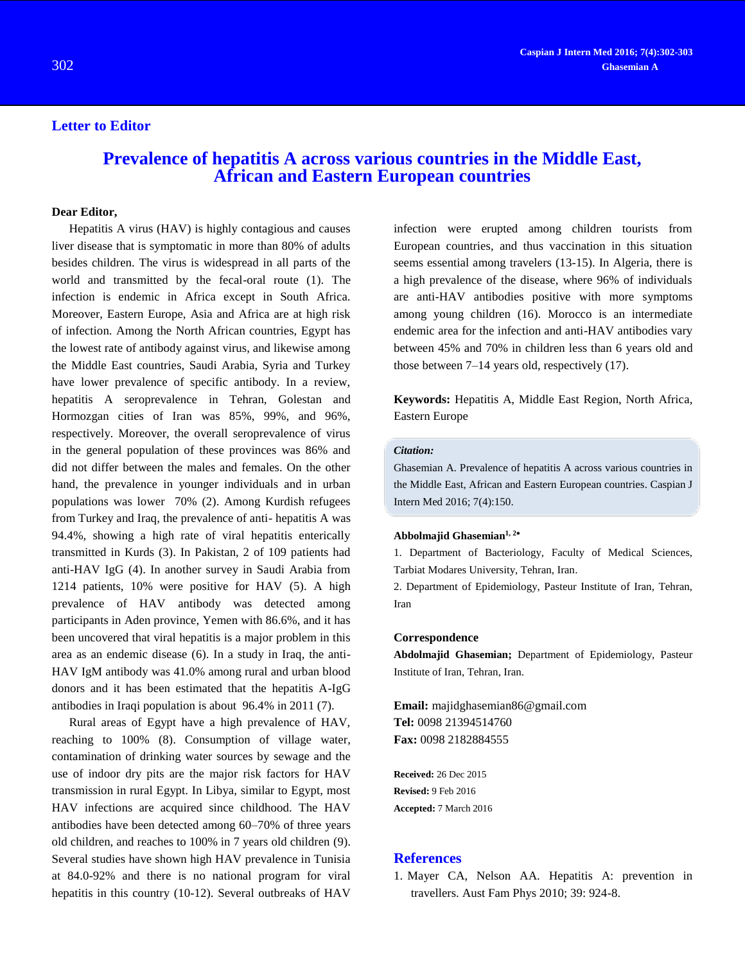## **Letter to Editor**

# **Prevalence of hepatitis A across various countries in the Middle East, African and Eastern European countries**

#### **Dear Editor,**

Hepatitis A virus (HAV) is highly contagious and causes liver disease that is symptomatic in more than 80% of adults besides children. The virus is widespread in all parts of the world and transmitted by the fecal-oral route [\(1\)](#page-0-0). The infection is endemic in Africa except in South Africa. Moreover, Eastern Europe, Asia and Africa are at high risk of infection. Among the North African countries, Egypt has the lowest rate of antibody against virus, and likewise among the Middle East countries, Saudi Arabia, Syria and Turkey have lower prevalence of specific antibody. In a review, hepatitis A seroprevalence in Tehran, Golestan and Hormozgan cities of Iran was 85%, 99%, and 96%, respectively. Moreover, the overall seroprevalence of virus in the general population of these provinces was 86% and did not differ between the males and females. On the other hand, the prevalence in younger individuals and in urban populations was lower 70% [\(2\)](#page-1-0). Among Kurdish refugees from Turkey and Iraq, the prevalence of anti- hepatitis A was 94.4%, showing a high rate of viral hepatitis enterically transmitted in Kurds [\(3\)](#page-1-1). In Pakistan, 2 of 109 patients had anti-HAV IgG [\(4\)](#page-1-2). In another survey in Saudi Arabia from 1214 patients, 10% were positive for HAV [\(5\)](#page-1-3). A high prevalence of HAV antibody was detected among participants in Aden province, Yemen with 86.6%, and it has been uncovered that viral hepatitis is a major problem in this area as an endemic disease [\(6\)](#page-1-4). In a study in Iraq, the anti-HAV IgM antibody was 41.0% among rural and urban blood donors and it has been estimated that the hepatitis A-IgG antibodies in Iraqi population is about 96.4% in 2011 [\(7\)](#page-1-5).

Rural areas of Egypt have a high prevalence of HAV, reaching to 100% [\(8\)](#page-1-6). Consumption of village water, contamination of drinking water sources by sewage and the use of indoor dry pits are the major risk factors for HAV transmission in rural Egypt. In Libya, similar to Egypt, most HAV infections are acquired since childhood. The HAV antibodies have been detected among 60–70% of three years old children, and reaches to 100% in 7 years old children [\(9\)](#page-1-7). Several studies have shown high HAV prevalence in Tunisia at 84.0-92% and there is no national program for viral hepatitis in this country [\(10-12\)](#page-1-8). Several outbreaks of HAV infection were erupted among children tourists from European countries, and thus vaccination in this situation seems essential among travelers [\(13-15\)](#page-1-9). In Algeria, there is a high prevalence of the disease, where 96% of individuals are anti-HAV antibodies positive with more symptoms among young children [\(16\)](#page-1-10). Morocco is an intermediate endemic area for the infection and anti-HAV antibodies vary between 45% and 70% in children less than 6 years old and those between 7–14 years old, respectively [\(17\)](#page-1-11).

**Keywords:** Hepatitis A, Middle East Region, North Africa, Eastern Europe

## *Citation:*

Ghasemian A. Prevalence of hepatitis A across various countries in the Middle East, African and Eastern European countries. Caspian J Intern Med 2016; 7(4):150.

#### **Abbolmajid Ghasemian1, <sup>2</sup>**

1. Department of Bacteriology, Faculty of Medical Sciences, Tarbiat Modares University, Tehran, Iran.

2. Department of Epidemiology, Pasteur Institute of Iran, Tehran, Iran

#### **Correspondence**

**Abdolmajid Ghasemian;** Department of Epidemiology, Pasteur Institute of Iran, Tehran, Iran.

**Email:** [majidghasemian86@gmail.com](mailto:majidghasemian86@gmail.com) **Tel:** 0098 21394514760 **Fax:** 0098 2182884555

**Received:** 26 Dec 2015 **Revised:** 9 Feb 2016 **Accepted:** 7 March 2016

### **References**

<span id="page-0-0"></span>1. Mayer CA, Nelson AA. Hepatitis A: prevention in travellers. Aust Fam Phys 2010; 39: 924-8.